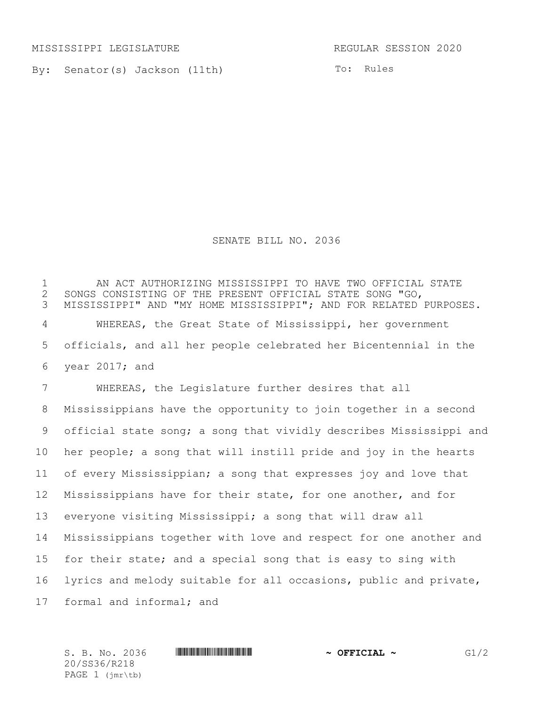MISSISSIPPI LEGISLATURE REGULAR SESSION 2020

By: Senator(s) Jackson (11th)

To: Rules

## SENATE BILL NO. 2036

 AN ACT AUTHORIZING MISSISSIPPI TO HAVE TWO OFFICIAL STATE SONGS CONSISTING OF THE PRESENT OFFICIAL STATE SONG "GO, MISSISSIPPI" AND "MY HOME MISSISSIPPI"; AND FOR RELATED PURPOSES. WHEREAS, the Great State of Mississippi, her government officials, and all her people celebrated her Bicentennial in the year 2017; and WHEREAS, the Legislature further desires that all Mississippians have the opportunity to join together in a second official state song; a song that vividly describes Mississippi and her people; a song that will instill pride and joy in the hearts of every Mississippian; a song that expresses joy and love that Mississippians have for their state, for one another, and for everyone visiting Mississippi; a song that will draw all Mississippians together with love and respect for one another and for their state; and a special song that is easy to sing with lyrics and melody suitable for all occasions, public and private,

formal and informal; and

20/SS36/R218 PAGE 1 (jmr\tb)

S. B. No. 2036 \*SS36/R218\* **~ OFFICIAL ~** G1/2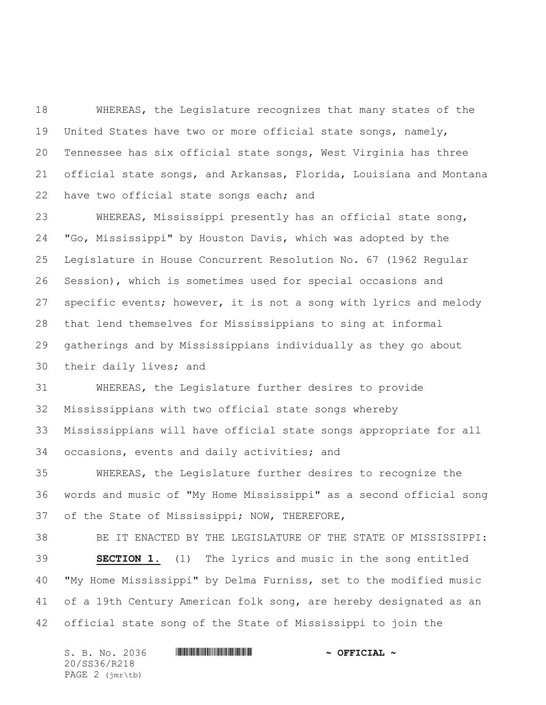WHEREAS, the Legislature recognizes that many states of the United States have two or more official state songs, namely, Tennessee has six official state songs, West Virginia has three official state songs, and Arkansas, Florida, Louisiana and Montana 22 have two official state songs each; and

 WHEREAS, Mississippi presently has an official state song, "Go, Mississippi" by Houston Davis, which was adopted by the Legislature in House Concurrent Resolution No. 67 (1962 Regular Session), which is sometimes used for special occasions and specific events; however, it is not a song with lyrics and melody that lend themselves for Mississippians to sing at informal gatherings and by Mississippians individually as they go about their daily lives; and

 WHEREAS, the Legislature further desires to provide Mississippians with two official state songs whereby Mississippians will have official state songs appropriate for all occasions, events and daily activities; and

 WHEREAS, the Legislature further desires to recognize the words and music of "My Home Mississippi" as a second official song of the State of Mississippi; NOW, THEREFORE,

 BE IT ENACTED BY THE LEGISLATURE OF THE STATE OF MISSISSIPPI: **SECTION 1.** (1) The lyrics and music in the song entitled "My Home Mississippi" by Delma Furniss, set to the modified music 41 of a 19th Century American folk song, are hereby designated as an official state song of the State of Mississippi to join the

| S. B. No. 2036                             | $\sim$ OFFICIAL $\sim$ |
|--------------------------------------------|------------------------|
| 20/SS36/R218                               |                        |
| PAGE $2$ ( $\text{imr}\text{-}\text{tb}$ ) |                        |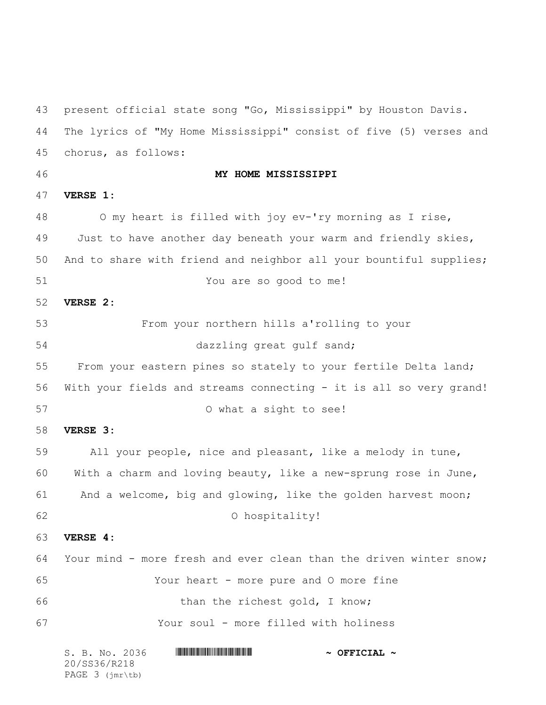S. B. No. 2036 \*SS36/R218\* **~ OFFICIAL ~** 20/SS36/R218 present official state song "Go, Mississippi" by Houston Davis. The lyrics of "My Home Mississippi" consist of five (5) verses and chorus, as follows: **MY HOME MISSISSIPPI VERSE 1:** O my heart is filled with joy ev-'ry morning as I rise, Just to have another day beneath your warm and friendly skies, And to share with friend and neighbor all your bountiful supplies; You are so good to me! **VERSE 2:** From your northern hills a'rolling to your dazzling great gulf sand; From your eastern pines so stately to your fertile Delta land; With your fields and streams connecting - it is all so very grand! O what a sight to see! **VERSE 3:** All your people, nice and pleasant, like a melody in tune, With a charm and loving beauty, like a new-sprung rose in June, And a welcome, big and glowing, like the golden harvest moon; O hospitality! **VERSE 4:** Your mind - more fresh and ever clean than the driven winter snow; Your heart - more pure and O more fine 66 than the richest gold, I know; Your soul - more filled with holiness

PAGE 3 (jmr\tb)